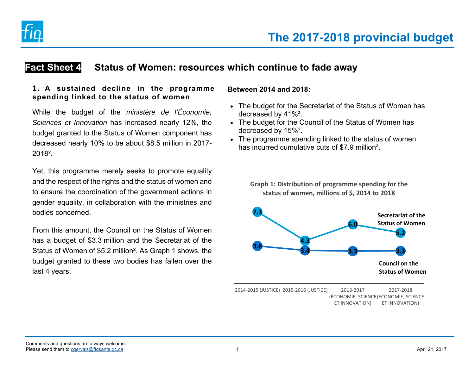

# **Fact Sheet 4 Status of Women: resources which continue to fade away**

### **1. A sustained decline in the programme spending linked to the status of women**

While the budget of the *ministère de l'Économie, Sciences et Innovation* has increased nearly 12%, the budget granted to the Status of Women component has decreased nearly 10% to be about \$8.5 million in 2017- 2018².

Yet, this programme merely seeks to promote equality and the respect of the rights and the status of women and to ensure the coordination of the government actions in gender equality, in collaboration with the ministries and bodies concerned.

From this amount, the Council on the Status of Women has a budget of \$3.3 million and the Secretariat of the Status of Women of \$5.2 million². As Graph 1 shows, the budget granted to these two bodies has fallen over the last 4 years.

#### **Between 2014 and 2018:**

- The budget for the Secretariat of the Status of Women has decreased by 41%².
- The budget for the Council of the Status of Women has decreased by 15%².
- The programme spending linked to the status of women has incurred cumulative cuts of \$7.9 million².

**Graph 1: Distribution of programme spending for the status of women, millions of \$, 2014 to 2018**



2014‐2015 (JUSTICE) 2015‐2016 (JUSTICE) 2016‐2017 (ÉCONOMIE, SCIENCE (ÉCONOMIE, SCIENCE ET INNOVATION) 2017‐2018ET INNOVATION)